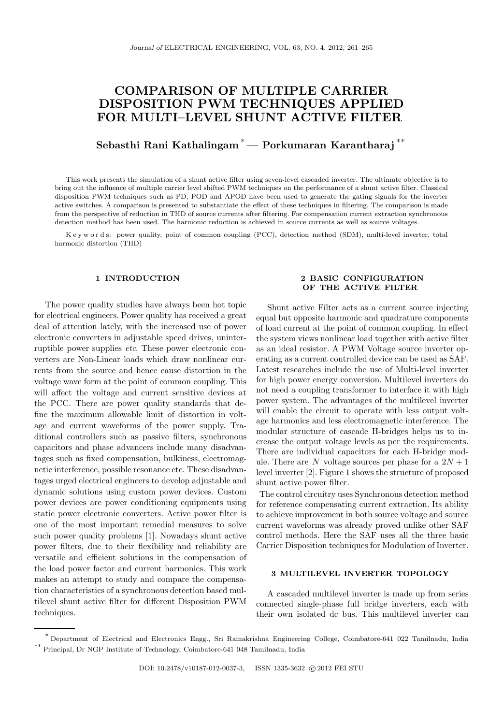# COMPARISON OF MULTIPLE CARRIER DISPOSITION PWM TECHNIQUES APPLIED FOR MULTI–LEVEL SHUNT ACTIVE FILTER

Sebasthi Rani Kathalingam <sup>∗</sup>— Porkumaran Karantharaj ∗∗

This work presents the simulation of a shunt active filter using seven-level cascaded inverter. The ultimate objective is to bring out the influence of multiple carrier level shifted PWM techniques on the performance of a shunt active filter. Classical disposition PWM techniques such as PD, POD and APOD have been used to generate the gating signals for the inverter active switches. A comparison is presented to substantiate the effect of these techniques in filtering. The comparison is made from the perspective of reduction in THD of source currents after filtering. For compensation current extraction synchronous detection method has been used. The harmonic reduction is achieved in source currents as well as source voltages.

K e y w o r d s: power quality, point of common coupling (PCC), detection method (SDM), multi-level inverter, total harmonic distortion (THD)

### 1 INTRODUCTION

The power quality studies have always been hot topic for electrical engineers. Power quality has received a great deal of attention lately, with the increased use of power electronic converters in adjustable speed drives, uninterruptible power supplies *etc*. These power electronic converters are Non-Linear loads which draw nonlinear currents from the source and hence cause distortion in the voltage wave form at the point of common coupling. This will affect the voltage and current sensitive devices at the PCC. There are power quality standards that define the maximum allowable limit of distortion in voltage and current waveforms of the power supply. Traditional controllers such as passive filters, synchronous capacitors and phase advancers include many disadvantages such as fixed compensation, bulkiness, electromagnetic interference, possible resonance etc. These disadvantages urged electrical engineers to develop adjustable and dynamic solutions using custom power devices. Custom power devices are power conditioning equipments using static power electronic converters. Active power filter is one of the most important remedial measures to solve such power quality problems [1]. Nowadays shunt active power filters, due to their flexibility and reliability are versatile and efficient solutions in the compensation of the load power factor and current harmonics. This work makes an attempt to study and compare the compensation characteristics of a synchronous detection based multilevel shunt active filter for different Disposition PWM techniques.

## 2 BASIC CONFIGURATION OF THE ACTIVE FILTER

Shunt active Filter acts as a current source injecting equal but opposite harmonic and quadrature components of load current at the point of common coupling. In effect the system views nonlinear load together with active filter as an ideal resistor. A PWM Voltage source inverter operating as a current controlled device can be used as SAF. Latest researches include the use of Multi-level inverter for high power energy conversion. Multilevel inverters do not need a coupling transformer to interface it with high power system. The advantages of the multilevel inverter will enable the circuit to operate with less output voltage harmonics and less electromagnetic interference. The modular structure of cascade H-bridges helps us to increase the output voltage levels as per the requirements. There are individual capacitors for each H-bridge module. There are N voltage sources per phase for a  $2N + 1$ level inverter [2]. Figure 1 shows the structure of proposed shunt active power filter.

The control circuitry uses Synchronous detection method for reference compensating current extraction. Its ability to achieve improvement in both source voltage and source current waveforms was already proved unlike other SAF control methods. Here the SAF uses all the three basic Carrier Disposition techniques for Modulation of Inverter.

## 3 MULTILEVEL INVERTER TOPOLOGY

A cascaded multilevel inverter is made up from series connected single-phase full bridge inverters, each with their own isolated dc bus. This multilevel inverter can

<sup>∗</sup> Department of Electrical and Electronics Engg., Sri Ramakrishna Engineering College, Coimbatore-641 022 Tamilnadu, India ∗∗ Principal, Dr NGP Institute of Technology, Coimbatore-641 048 Tamilnadu, India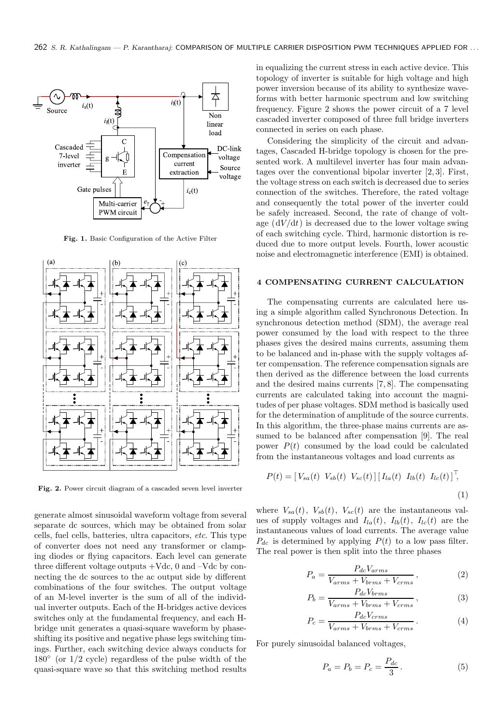

Fig. 1. Basic Configuration of the Active Filter



Fig. 2. Power circuit diagram of a cascaded seven level inverter

generate almost sinusoidal waveform voltage from several separate dc sources, which may be obtained from solar cells, fuel cells, batteries, ultra capacitors, etc. This type of converter does not need any transformer or clamping diodes or flying capacitors. Each level can generate three different voltage outputs  $+Vdc$ , 0 and  $-Vdc$  by connecting the dc sources to the ac output side by different combinations of the four switches. The output voltage of an M-level inverter is the sum of all of the individual inverter outputs. Each of the H-bridges active devices switches only at the fundamental frequency, and each Hbridge unit generates a quasi-square waveform by phaseshifting its positive and negative phase legs switching timings. Further, each switching device always conducts for 180◦ (or 1/2 cycle) regardless of the pulse width of the quasi-square wave so that this switching method results

in equalizing the current stress in each active device. This topology of inverter is suitable for high voltage and high power inversion because of its ability to synthesize waveforms with better harmonic spectrum and low switching frequency. Figure 2 shows the power circuit of a 7 level cascaded inverter composed of three full bridge inverters connected in series on each phase.

Considering the simplicity of the circuit and advantages, Cascaded H-bridge topology is chosen for the presented work. A multilevel inverter has four main advantages over the conventional bipolar inverter [2, 3]. First, the voltage stress on each switch is decreased due to series connection of the switches. Therefore, the rated voltage and consequently the total power of the inverter could be safely increased. Second, the rate of change of voltage  $(dV/dt)$  is decreased due to the lower voltage swing of each switching cycle. Third, harmonic distortion is reduced due to more output levels. Fourth, lower acoustic noise and electromagnetic interference (EMI) is obtained.

#### 4 COMPENSATING CURRENT CALCULATION

The compensating currents are calculated here using a simple algorithm called Synchronous Detection. In synchronous detection method (SDM), the average real power consumed by the load with respect to the three phases gives the desired mains currents, assuming them to be balanced and in-phase with the supply voltages after compensation. The reference compensation signals are then derived as the difference between the load currents and the desired mains currents [7, 8]. The compensating currents are calculated taking into account the magnitudes of per phase voltages. SDM method is basically used for the determination of amplitude of the source currents. In this algorithm, the three-phase mains currents are assumed to be balanced after compensation [9]. The real power  $P(t)$  consumed by the load could be calculated from the instantaneous voltages and load currents as

$$
P(t) = [V_{sa}(t) V_{sb}(t) V_{sc}(t)] [I_{la}(t) I_{lb}(t) I_{lc}(t)]^{\top},
$$
\n(1)

where  $V_{sa}(t)$ ,  $V_{sb}(t)$ ,  $V_{sc}(t)$  are the instantaneous values of supply voltages and  $I_{la}(t)$ ,  $I_{lb}(t)$ ,  $I_{lc}(t)$  are the instantaneous values of load currents. The average value  $P_{dc}$  is determined by applying  $P(t)$  to a low pass filter. The real power is then split into the three phases

$$
P_a = \frac{P_{dc}V_{arms}}{V_{arms} + V_{brms} + V_{crms}},\tag{2}
$$

$$
P_b = \frac{P_{dc}V_{brms}}{V_{arms} + V_{brms} + V_{crms}},\tag{3}
$$

$$
P_c = \frac{P_{dc}V_{crms}}{V_{arms} + V_{brms} + V_{crms}}.\tag{4}
$$

For purely sinusoidal balanced voltages,

$$
P_a = P_b = P_c = \frac{P_{dc}}{3}.
$$
 (5)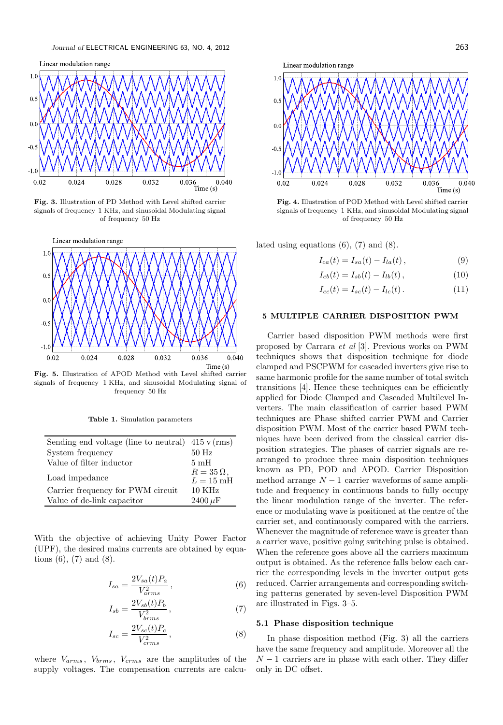

Fig. 3. Illustration of PD Method with Level shifted carrier signals of frequency 1 KHz, and sinusoidal Modulating signal of frequency 50 Hz



Fig. 5. Illustration of APOD Method with Level shifted carrier signals of frequency 1 KHz, and sinusoidal Modulating signal of frequency 50 Hz

Table 1. Simulation parameters

| Sending end voltage (line to neutral) $415 \text{ v} \, \text{(rms)}$ |                                         |
|-----------------------------------------------------------------------|-----------------------------------------|
| System frequency                                                      | $50$ Hz                                 |
| Value of filter inductor                                              | 5mH                                     |
| Load impedance                                                        | $R=35\,\Omega$ ,<br>$L = 15 \text{ mH}$ |
| Carrier frequency for PWM circuit                                     | $10 \mathrm{KHz}$                       |
| Value of dc-link capacitor                                            | $2400 \,\mathrm{\mu F}$                 |

With the objective of achieving Unity Power Factor (UPF), the desired mains currents are obtained by equations  $(6)$ ,  $(7)$  and  $(8)$ .

$$
I_{sa} = \frac{2V_{sa}(t)P_a}{V_{arms}^2},\tag{6}
$$

$$
I_{sb} = \frac{2V_{sb}(t)P_b}{V_{brms}^2} \,, \tag{7}
$$

$$
I_{sc} = \frac{2V_{sc}(t)P_c}{V_{crms}^2},\tag{8}
$$

where  $V_{arms}$ ,  $V_{brms}$ ,  $V_{crms}$  are the amplitudes of the supply voltages. The compensation currents are calcu-



Fig. 4. Illustration of POD Method with Level shifted carrier signals of frequency 1 KHz, and sinusoidal Modulating signal of frequency 50 Hz

lated using equations  $(6)$ ,  $(7)$  and  $(8)$ .

$$
I_{ca}(t) = I_{sa}(t) - I_{la}(t), \qquad (9)
$$

$$
I_{cb}(t) = I_{sb}(t) - I_{lb}(t) , \t\t(10)
$$

$$
I_{cc}(t) = I_{sc}(t) - I_{lc}(t).
$$
 (11)

## 5 MULTIPLE CARRIER DISPOSITION PWM

Carrier based disposition PWM methods were first proposed by Carrara et al [3]. Previous works on PWM techniques shows that disposition technique for diode clamped and PSCPWM for cascaded inverters give rise to same harmonic profile for the same number of total switch transitions [4]. Hence these techniques can be efficiently applied for Diode Clamped and Cascaded Multilevel Inverters. The main classification of carrier based PWM techniques are Phase shifted carrier PWM and Carrier disposition PWM. Most of the carrier based PWM techniques have been derived from the classical carrier disposition strategies. The phases of carrier signals are rearranged to produce three main disposition techniques known as PD, POD and APOD. Carrier Disposition method arrange  $N-1$  carrier waveforms of same amplitude and frequency in continuous bands to fully occupy the linear modulation range of the inverter. The reference or modulating wave is positioned at the centre of the carrier set, and continuously compared with the carriers. Whenever the magnitude of reference wave is greater than a carrier wave, positive going switching pulse is obtained. When the reference goes above all the carriers maximum output is obtained. As the reference falls below each carrier the corresponding levels in the inverter output gets reduced. Carrier arrangements and corresponding switching patterns generated by seven-level Disposition PWM are illustrated in Figs. 3–5.

## 5.1 Phase disposition technique

In phase disposition method (Fig. 3) all the carriers have the same frequency and amplitude. Moreover all the  $N-1$  carriers are in phase with each other. They differ only in DC offset.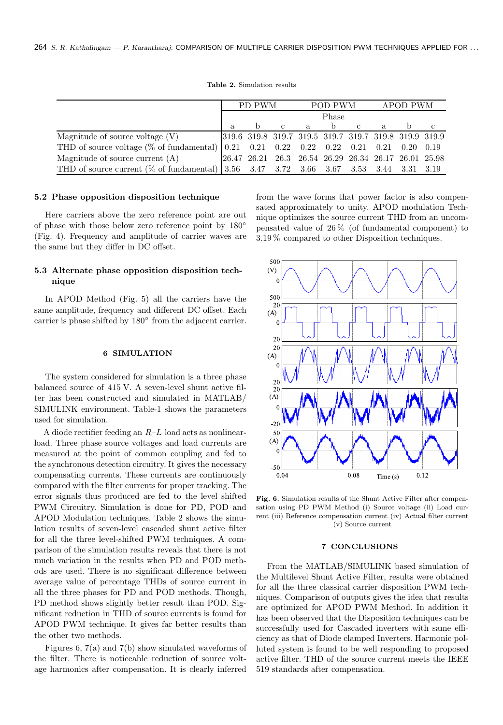|                                                                                                                                          | PD PWM       |                                                       | POD PWM      |       | APOD PWM |  |     |  |              |
|------------------------------------------------------------------------------------------------------------------------------------------|--------------|-------------------------------------------------------|--------------|-------|----------|--|-----|--|--------------|
|                                                                                                                                          | Phase        |                                                       |              |       |          |  |     |  |              |
|                                                                                                                                          | $\mathbf{a}$ | <sub>b</sub>                                          | $\mathbf{c}$ | a b c |          |  | a b |  | $\mathbf{c}$ |
| Magnitude of source voltage (V)                                                                                                          |              | 319.6 319.8 319.7 319.5 319.7 319.7 319.8 319.9 319.9 |              |       |          |  |     |  |              |
| THD of source voltage (% of fundamental) $(0.21 \quad 0.21 \quad 0.22 \quad 0.22 \quad 0.22 \quad 0.21 \quad 0.21 \quad 0.20 \quad 0.19$ |              |                                                       |              |       |          |  |     |  |              |
| Magnitude of source current (A)                                                                                                          |              | 26.47 26.21 26.3 26.54 26.29 26.34 26.17 26.01 25.98  |              |       |          |  |     |  |              |
| THD of source current (% of fundamental) 3.56 3.47 3.72 3.66 3.67 3.53 3.44 3.31 3.19                                                    |              |                                                       |              |       |          |  |     |  |              |

Table 2. Simulation results

#### 5.2 Phase opposition disposition technique

Here carriers above the zero reference point are out of phase with those below zero reference point by 180◦ (Fig. 4). Frequency and amplitude of carrier waves are the same but they differ in DC offset.

## 5.3 Alternate phase opposition disposition technique

In APOD Method (Fig. 5) all the carriers have the same amplitude, frequency and different DC offset. Each carrier is phase shifted by 180◦ from the adjacent carrier.

## 6 SIMULATION

The system considered for simulation is a three phase balanced source of 415 V. A seven-level shunt active filter has been constructed and simulated in MATLAB/ SIMULINK environment. Table-1 shows the parameters used for simulation.

A diode rectifier feeding an  $R-L$  load acts as nonlinearload. Three phase source voltages and load currents are measured at the point of common coupling and fed to the synchronous detection circuitry. It gives the necessary compensating currents. These currents are continuously compared with the filter currents for proper tracking. The error signals thus produced are fed to the level shifted PWM Circuitry. Simulation is done for PD, POD and APOD Modulation techniques. Table 2 shows the simulation results of seven-level cascaded shunt active filter for all the three level-shifted PWM techniques. A comparison of the simulation results reveals that there is not much variation in the results when PD and POD methods are used. There is no significant difference between average value of percentage THDs of source current in all the three phases for PD and POD methods. Though, PD method shows slightly better result than POD. Significant reduction in THD of source currents is found for APOD PWM technique. It gives far better results than the other two methods.

Figures 6, 7(a) and 7(b) show simulated waveforms of the filter. There is noticeable reduction of source voltage harmonics after compensation. It is clearly inferred from the wave forms that power factor is also compensated approximately to unity. APOD modulation Technique optimizes the source current THD from an uncompensated value of 26 % (of fundamental component) to 3.19 % compared to other Disposition techniques.



Fig. 6. Simulation results of the Shunt Active Filter after compensation using PD PWM Method (i) Source voltage (ii) Load current (iii) Reference compensation current (iv) Actual filter current (v) Source current

#### 7 CONCLUSIONS

From the MATLAB/SIMULINK based simulation of the Multilevel Shunt Active Filter, results were obtained for all the three classical carrier disposition PWM techniques. Comparison of outputs gives the idea that results are optimized for APOD PWM Method. In addition it has been observed that the Disposition techniques can be successfully used for Cascaded inverters with same efficiency as that of Diode clamped Inverters. Harmonic polluted system is found to be well responding to proposed active filter. THD of the source current meets the IEEE 519 standards after compensation.